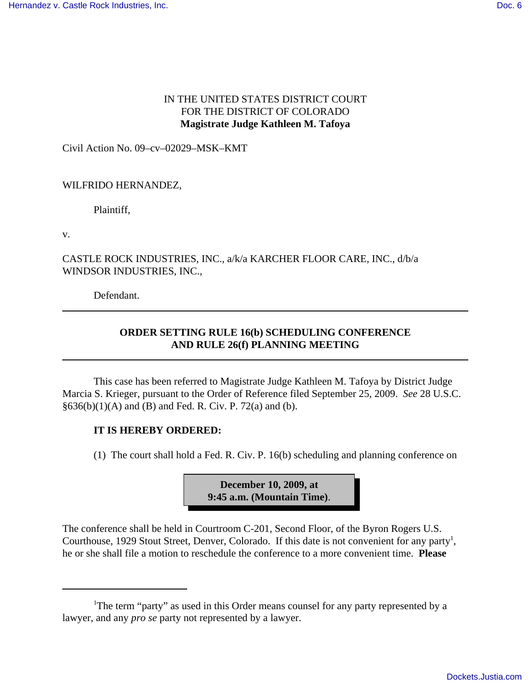## IN THE UNITED STATES DISTRICT COURT FOR THE DISTRICT OF COLORADO **Magistrate Judge Kathleen M. Tafoya**

Civil Action No. 09–cv–02029–MSK–KMT

### WILFRIDO HERNANDEZ,

Plaintiff,

v.

### CASTLE ROCK INDUSTRIES, INC., a/k/a KARCHER FLOOR CARE, INC., d/b/a WINDSOR INDUSTRIES, INC.,

Defendant.

# **ORDER SETTING RULE 16(b) SCHEDULING CONFERENCE AND RULE 26(f) PLANNING MEETING**

This case has been referred to Magistrate Judge Kathleen M. Tafoya by District Judge Marcia S. Krieger, pursuant to the Order of Reference filed September 25, 2009. *See* 28 U.S.C.  $§636(b)(1)(A)$  and (B) and Fed. R. Civ. P. 72(a) and (b).

### **IT IS HEREBY ORDERED:**

(1) The court shall hold a Fed. R. Civ. P. 16(b) scheduling and planning conference on



The conference shall be held in Courtroom C-201, Second Floor, of the Byron Rogers U.S. Courthouse, 1929 Stout Street, Denver, Colorado. If this date is not convenient for any party<sup>1</sup>, he or she shall file a motion to reschedule the conference to a more convenient time. **Please**

<sup>&</sup>lt;sup>1</sup>The term "party" as used in this Order means counsel for any party represented by a lawyer, and any *pro se* party not represented by a lawyer.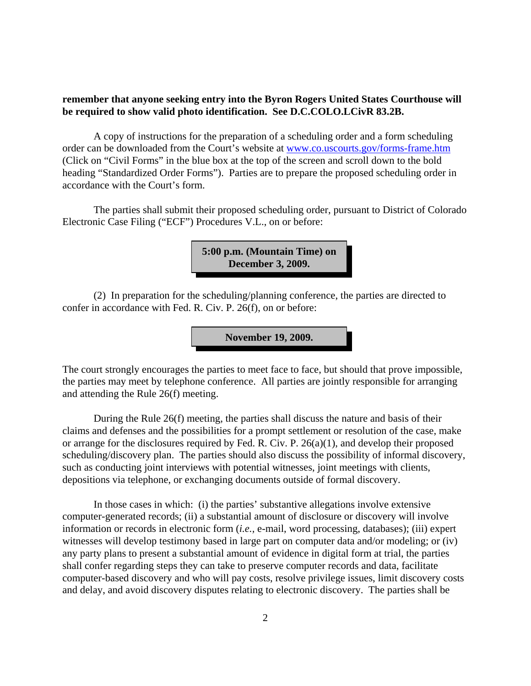### **remember that anyone seeking entry into the Byron Rogers United States Courthouse will be required to show valid photo identification. See D.C.COLO.LCivR 83.2B.**

A copy of instructions for the preparation of a scheduling order and a form scheduling order can be downloaded from the Court's website at www.co.uscourts.gov/forms-frame.htm (Click on "Civil Forms" in the blue box at the top of the screen and scroll down to the bold heading "Standardized Order Forms"). Parties are to prepare the proposed scheduling order in accordance with the Court's form.

The parties shall submit their proposed scheduling order, pursuant to District of Colorado Electronic Case Filing ("ECF") Procedures V.L., on or before:

> **5:00 p.m. (Mountain Time) on December 3, 2009.**

(2) In preparation for the scheduling/planning conference, the parties are directed to confer in accordance with Fed. R. Civ. P. 26(f), on or before:

**November 19, 2009.**

The court strongly encourages the parties to meet face to face, but should that prove impossible, the parties may meet by telephone conference. All parties are jointly responsible for arranging and attending the Rule 26(f) meeting.

During the Rule 26(f) meeting, the parties shall discuss the nature and basis of their claims and defenses and the possibilities for a prompt settlement or resolution of the case, make or arrange for the disclosures required by Fed. R. Civ. P. 26(a)(1), and develop their proposed scheduling/discovery plan. The parties should also discuss the possibility of informal discovery, such as conducting joint interviews with potential witnesses, joint meetings with clients, depositions via telephone, or exchanging documents outside of formal discovery.

In those cases in which: (i) the parties' substantive allegations involve extensive computer-generated records; (ii) a substantial amount of disclosure or discovery will involve information or records in electronic form (*i.e.,* e-mail, word processing, databases); (iii) expert witnesses will develop testimony based in large part on computer data and/or modeling; or (iv) any party plans to present a substantial amount of evidence in digital form at trial, the parties shall confer regarding steps they can take to preserve computer records and data, facilitate computer-based discovery and who will pay costs, resolve privilege issues, limit discovery costs and delay, and avoid discovery disputes relating to electronic discovery. The parties shall be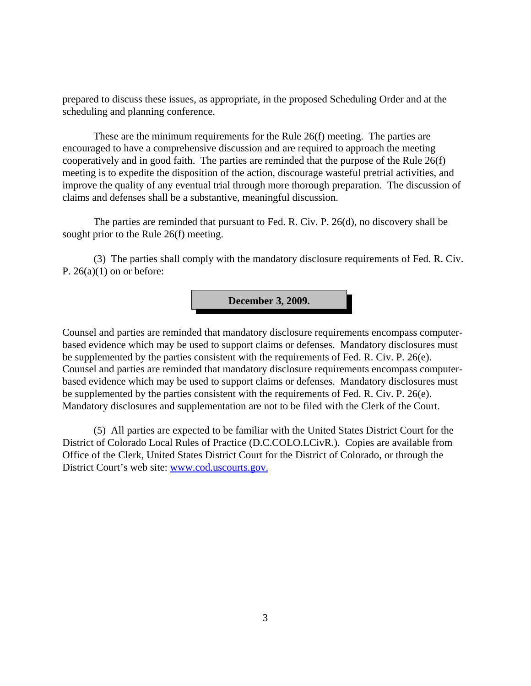prepared to discuss these issues, as appropriate, in the proposed Scheduling Order and at the scheduling and planning conference.

These are the minimum requirements for the Rule 26(f) meeting. The parties are encouraged to have a comprehensive discussion and are required to approach the meeting cooperatively and in good faith. The parties are reminded that the purpose of the Rule 26(f) meeting is to expedite the disposition of the action, discourage wasteful pretrial activities, and improve the quality of any eventual trial through more thorough preparation. The discussion of claims and defenses shall be a substantive, meaningful discussion.

The parties are reminded that pursuant to Fed. R. Civ. P. 26(d), no discovery shall be sought prior to the Rule 26(f) meeting.

(3) The parties shall comply with the mandatory disclosure requirements of Fed. R. Civ. P.  $26(a)(1)$  on or before:



Counsel and parties are reminded that mandatory disclosure requirements encompass computerbased evidence which may be used to support claims or defenses. Mandatory disclosures must be supplemented by the parties consistent with the requirements of Fed. R. Civ. P. 26(e). Counsel and parties are reminded that mandatory disclosure requirements encompass computerbased evidence which may be used to support claims or defenses. Mandatory disclosures must be supplemented by the parties consistent with the requirements of Fed. R. Civ. P. 26(e). Mandatory disclosures and supplementation are not to be filed with the Clerk of the Court.

(5) All parties are expected to be familiar with the United States District Court for the District of Colorado Local Rules of Practice (D.C.COLO.LCivR.). Copies are available from Office of the Clerk, United States District Court for the District of Colorado, or through the District Court's web site: www.cod.uscourts.gov.